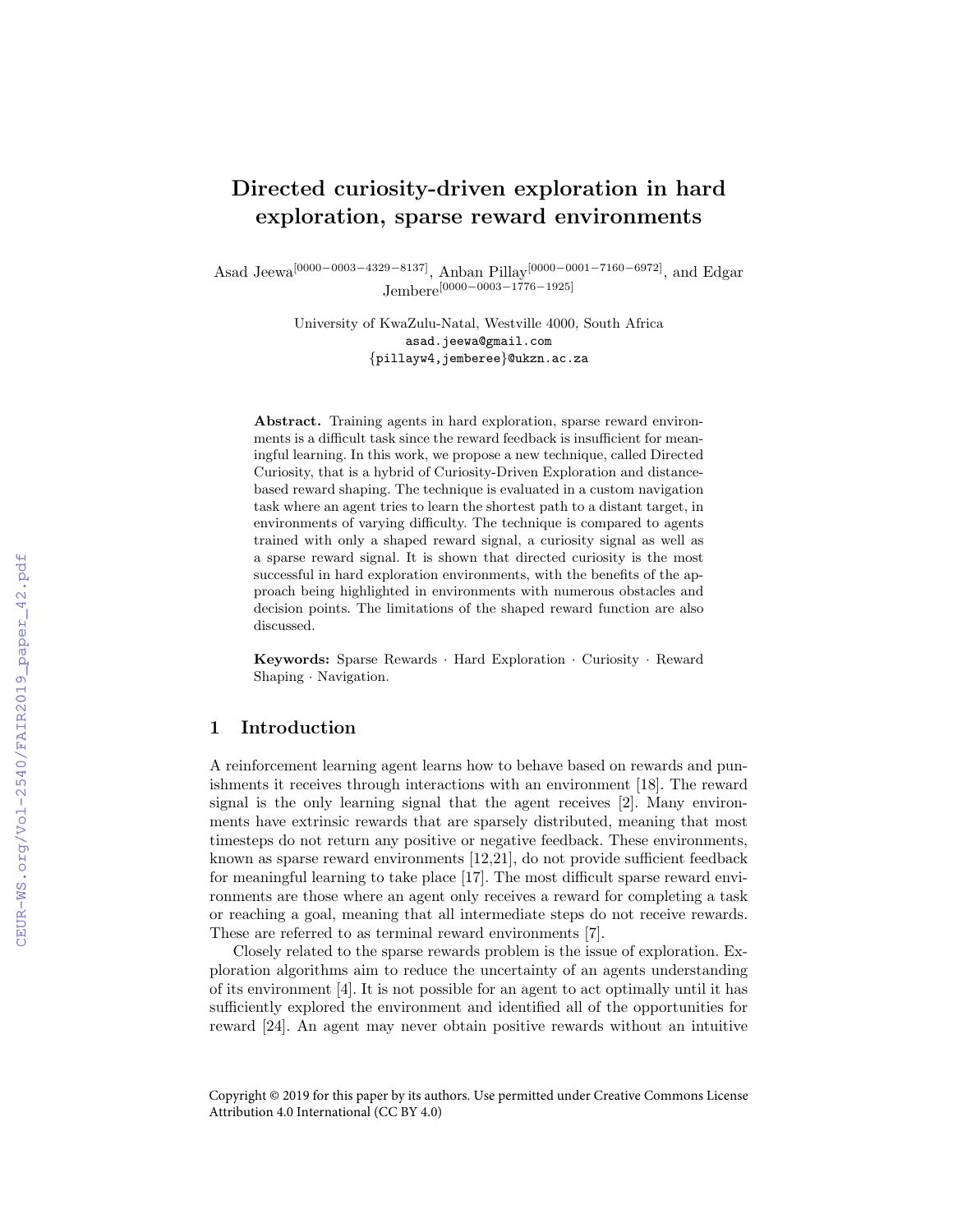# Directed curiosity-driven exploration in hard exploration, sparse reward environments

Asad Jeewa[0000−0003−4329−8137], Anban Pillay[0000−0001−7160−6972], and Edgar Jembere[0000−0003−1776−1925]

> University of KwaZulu-Natal, Westville 4000, South Africa asad.jeewa@gmail.com {pillayw4,jemberee}@ukzn.ac.za

Abstract. Training agents in hard exploration, sparse reward environments is a difficult task since the reward feedback is insufficient for meaningful learning. In this work, we propose a new technique, called Directed Curiosity, that is a hybrid of Curiosity-Driven Exploration and distancebased reward shaping. The technique is evaluated in a custom navigation task where an agent tries to learn the shortest path to a distant target, in environments of varying difficulty. The technique is compared to agents trained with only a shaped reward signal, a curiosity signal as well as a sparse reward signal. It is shown that directed curiosity is the most successful in hard exploration environments, with the benefits of the approach being highlighted in environments with numerous obstacles and decision points. The limitations of the shaped reward function are also discussed.

Keywords: Sparse Rewards · Hard Exploration · Curiosity · Reward Shaping · Navigation.

# 1 Introduction

A reinforcement learning agent learns how to behave based on rewards and punishments it receives through interactions with an environment [\[18\]](#page--1-0). The reward signal is the only learning signal that the agent receives [\[2\]](#page--1-1). Many environments have extrinsic rewards that are sparsely distributed, meaning that most timesteps do not return any positive or negative feedback. These environments, known as sparse reward environments [\[12,](#page--1-2)[21\]](#page--1-1), do not provide sufficient feedback for meaningful learning to take place [\[17\]](#page--1-3). The most difficult sparse reward environments are those where an agent only receives a reward for completing a task or reaching a goal, meaning that all intermediate steps do not receive rewards. These are referred to as terminal reward environments [\[7\]](#page--1-4).

Closely related to the sparse rewards problem is the issue of exploration. Exploration algorithms aim to reduce the uncertainty of an agents understanding of its environment [\[4\]](#page--1-5). It is not possible for an agent to act optimally until it has sufficiently explored the environment and identified all of the opportunities for reward [\[24\]](#page--1-6). An agent may never obtain positive rewards without an intuitive

Copyright © 2019 for this paper by its authors. Use permitted under Creative Commons License Attribution 4.0 International (CC BY 4.0)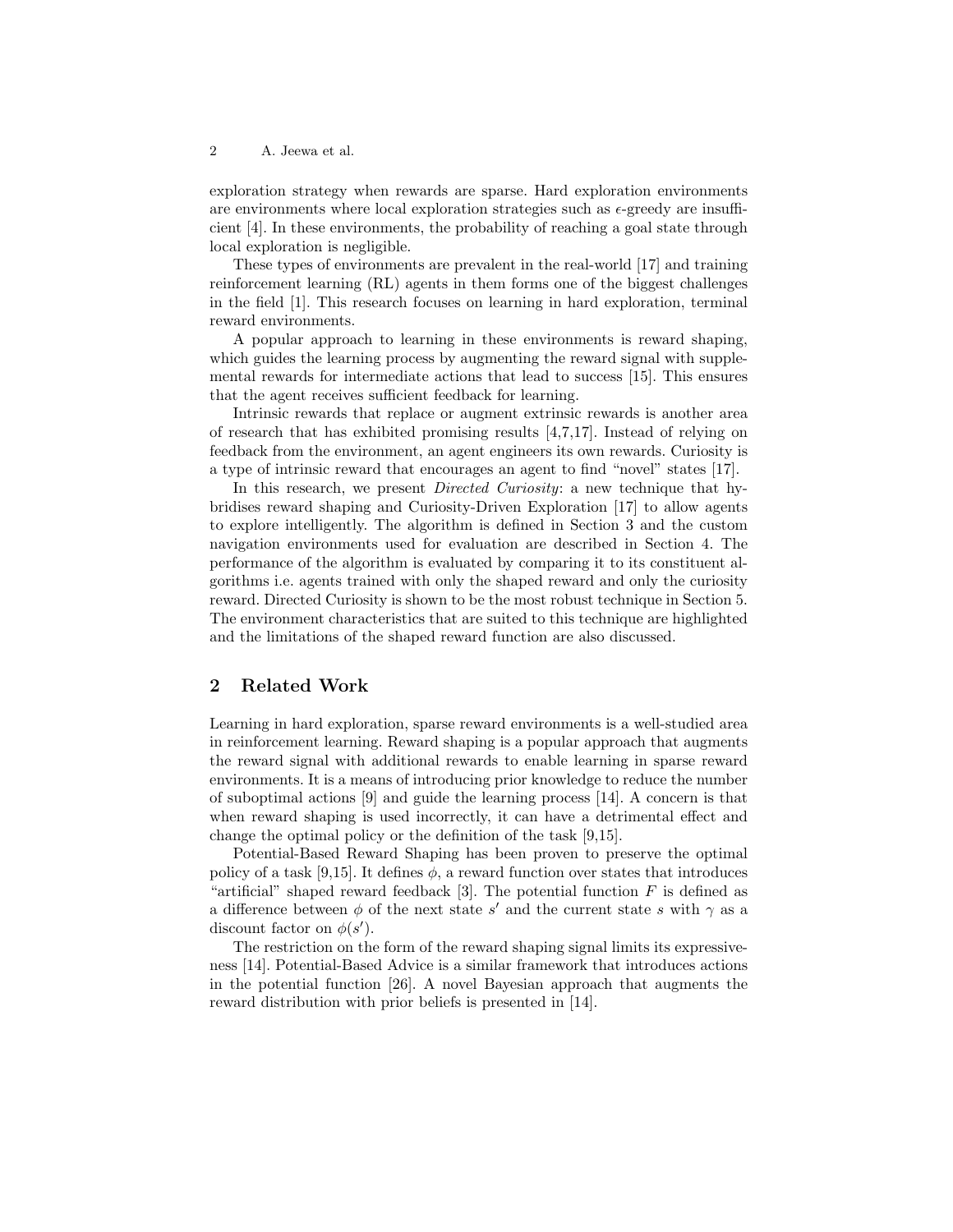exploration strategy when rewards are sparse. Hard exploration environments are environments where local exploration strategies such as  $\epsilon$ -greedy are insufficient [\[4\]](#page-11-0). In these environments, the probability of reaching a goal state through local exploration is negligible.

These types of environments are prevalent in the real-world [\[17\]](#page-11-1) and training reinforcement learning (RL) agents in them forms one of the biggest challenges in the field [\[1\]](#page-10-0). This research focuses on learning in hard exploration, terminal reward environments.

A popular approach to learning in these environments is reward shaping, which guides the learning process by augmenting the reward signal with supplemental rewards for intermediate actions that lead to success [\[15\]](#page-11-2). This ensures that the agent receives sufficient feedback for learning.

Intrinsic rewards that replace or augment extrinsic rewards is another area of research that has exhibited promising results [\[4,](#page-11-0)[7,](#page-11-3)[17\]](#page-11-1). Instead of relying on feedback from the environment, an agent engineers its own rewards. Curiosity is a type of intrinsic reward that encourages an agent to find "novel" states [\[17\]](#page-11-1).

In this research, we present *Directed Curiosity*: a new technique that hybridises reward shaping and Curiosity-Driven Exploration [\[17\]](#page-11-1) to allow agents to explore intelligently. The algorithm is defined in Section [3](#page-2-0) and the custom navigation environments used for evaluation are described in Section [4.](#page-5-0) The performance of the algorithm is evaluated by comparing it to its constituent algorithms i.e. agents trained with only the shaped reward and only the curiosity reward. Directed Curiosity is shown to be the most robust technique in Section [5.](#page-7-0) The environment characteristics that are suited to this technique are highlighted and the limitations of the shaped reward function are also discussed.

### 2 Related Work

Learning in hard exploration, sparse reward environments is a well-studied area in reinforcement learning. Reward shaping is a popular approach that augments the reward signal with additional rewards to enable learning in sparse reward environments. It is a means of introducing prior knowledge to reduce the number of suboptimal actions [\[9\]](#page-11-4) and guide the learning process [\[14\]](#page-11-5). A concern is that when reward shaping is used incorrectly, it can have a detrimental effect and change the optimal policy or the definition of the task [\[9,](#page-11-4)[15\]](#page-11-2).

Potential-Based Reward Shaping has been proven to preserve the optimal policy of a task [\[9,](#page-11-4)[15\]](#page-11-2). It defines  $\phi$ , a reward function over states that introduces "artificial" shaped reward feedback [\[3\]](#page-11-6). The potential function  $F$  is defined as a difference between  $\phi$  of the next state s' and the current state s with  $\gamma$  as a discount factor on  $\phi(s')$ .

The restriction on the form of the reward shaping signal limits its expressiveness [\[14\]](#page-11-5). Potential-Based Advice is a similar framework that introduces actions in the potential function [\[26\]](#page-12-0). A novel Bayesian approach that augments the reward distribution with prior beliefs is presented in [\[14\]](#page-11-5).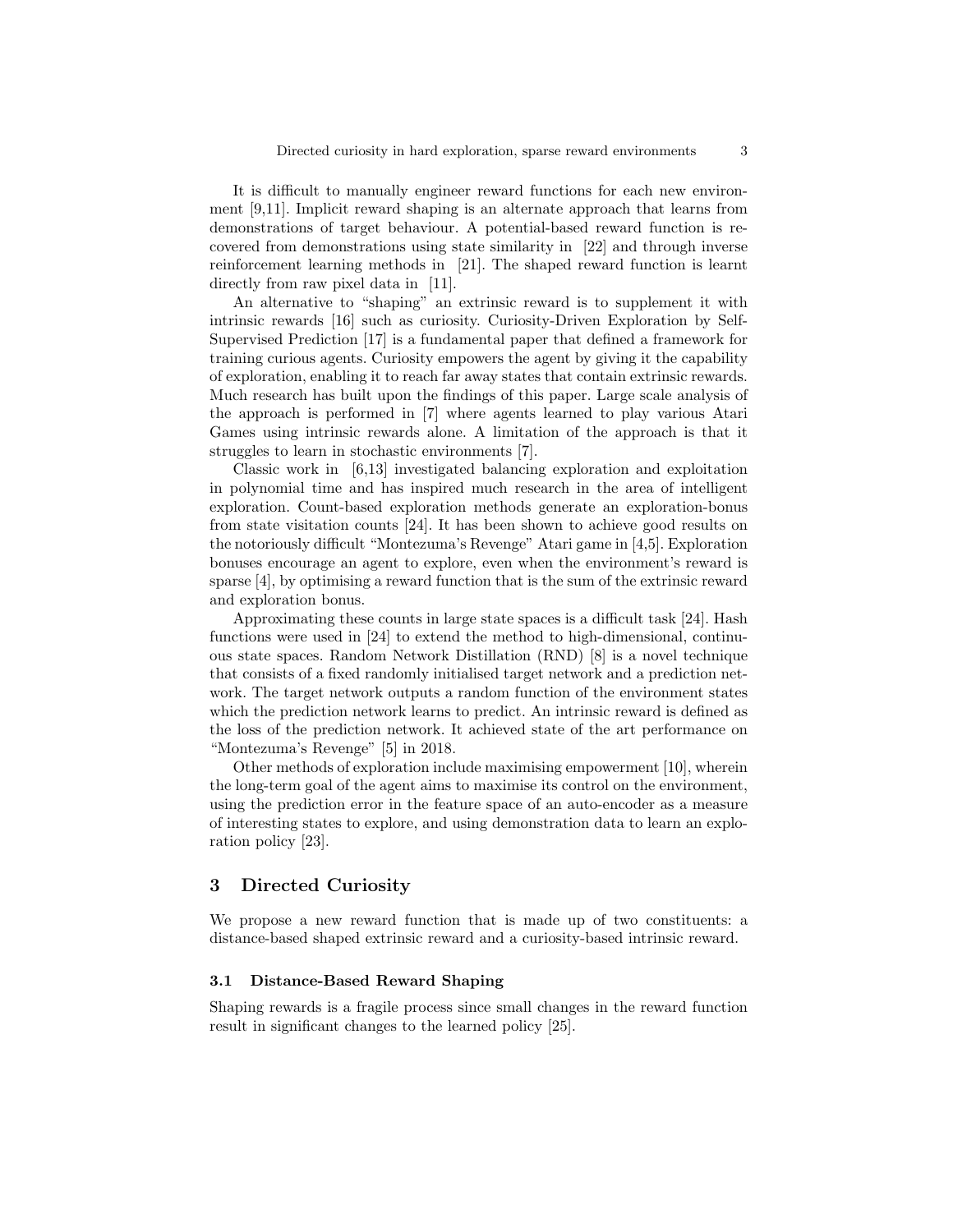It is difficult to manually engineer reward functions for each new environment [\[9,](#page-11-4)[11\]](#page-11-7). Implicit reward shaping is an alternate approach that learns from demonstrations of target behaviour. A potential-based reward function is recovered from demonstrations using state similarity in [\[22\]](#page-12-1) and through inverse reinforcement learning methods in [\[21\]](#page-12-2). The shaped reward function is learnt directly from raw pixel data in [\[11\]](#page-11-7).

An alternative to "shaping" an extrinsic reward is to supplement it with intrinsic rewards [\[16\]](#page-11-8) such as curiosity. Curiosity-Driven Exploration by Self-Supervised Prediction [\[17\]](#page-11-1) is a fundamental paper that defined a framework for training curious agents. Curiosity empowers the agent by giving it the capability of exploration, enabling it to reach far away states that contain extrinsic rewards. Much research has built upon the findings of this paper. Large scale analysis of the approach is performed in [\[7\]](#page-11-3) where agents learned to play various Atari Games using intrinsic rewards alone. A limitation of the approach is that it struggles to learn in stochastic environments [\[7\]](#page-11-3).

Classic work in [\[6,](#page-11-9)[13\]](#page-11-10) investigated balancing exploration and exploitation in polynomial time and has inspired much research in the area of intelligent exploration. Count-based exploration methods generate an exploration-bonus from state visitation counts [\[24\]](#page-12-3). It has been shown to achieve good results on the notoriously difficult "Montezuma's Revenge" Atari game in [\[4,](#page-11-0)[5\]](#page-11-11). Exploration bonuses encourage an agent to explore, even when the environment's reward is sparse [\[4\]](#page-11-0), by optimising a reward function that is the sum of the extrinsic reward and exploration bonus.

Approximating these counts in large state spaces is a difficult task [\[24\]](#page-12-3). Hash functions were used in [\[24\]](#page-12-3) to extend the method to high-dimensional, continuous state spaces. Random Network Distillation (RND) [\[8\]](#page-11-12) is a novel technique that consists of a fixed randomly initialised target network and a prediction network. The target network outputs a random function of the environment states which the prediction network learns to predict. An intrinsic reward is defined as the loss of the prediction network. It achieved state of the art performance on "Montezuma's Revenge" [\[5\]](#page-11-11) in 2018.

Other methods of exploration include maximising empowerment [\[10\]](#page-11-13), wherein the long-term goal of the agent aims to maximise its control on the environment, using the prediction error in the feature space of an auto-encoder as a measure of interesting states to explore, and using demonstration data to learn an exploration policy [\[23\]](#page-12-4).

### <span id="page-2-0"></span>3 Directed Curiosity

We propose a new reward function that is made up of two constituents: a distance-based shaped extrinsic reward and a curiosity-based intrinsic reward.

#### 3.1 Distance-Based Reward Shaping

Shaping rewards is a fragile process since small changes in the reward function result in significant changes to the learned policy [\[25\]](#page-12-5).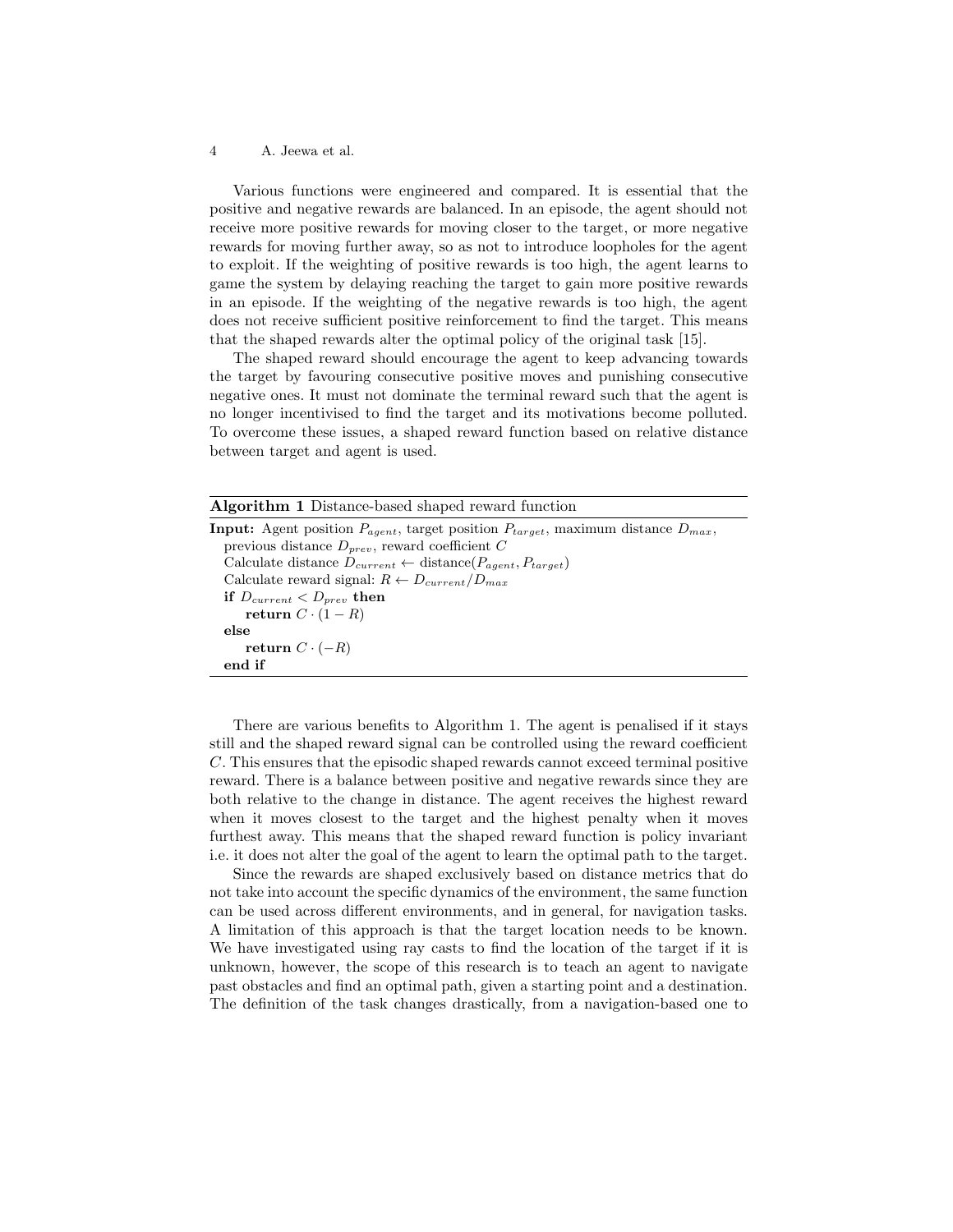Various functions were engineered and compared. It is essential that the positive and negative rewards are balanced. In an episode, the agent should not receive more positive rewards for moving closer to the target, or more negative rewards for moving further away, so as not to introduce loopholes for the agent to exploit. If the weighting of positive rewards is too high, the agent learns to game the system by delaying reaching the target to gain more positive rewards in an episode. If the weighting of the negative rewards is too high, the agent does not receive sufficient positive reinforcement to find the target. This means that the shaped rewards alter the optimal policy of the original task [\[15\]](#page-11-2).

The shaped reward should encourage the agent to keep advancing towards the target by favouring consecutive positive moves and punishing consecutive negative ones. It must not dominate the terminal reward such that the agent is no longer incentivised to find the target and its motivations become polluted. To overcome these issues, a shaped reward function based on relative distance between target and agent is used.

<span id="page-3-0"></span>

| <b>Algorithm 1</b> Distance-based shaped reward function                                               |
|--------------------------------------------------------------------------------------------------------|
| <b>Input:</b> Agent position $P_{agent}$ , target position $P_{target}$ , maximum distance $D_{max}$ , |
| previous distance $D_{prev}$ , reward coefficient C                                                    |
| Calculate distance $D_{current} \leftarrow \text{distance}(P_{agent}, P_{target})$                     |
| Calculate reward signal: $R \leftarrow D_{current}/D_{max}$                                            |
| if $D_{current} < D_{prev}$ then                                                                       |
| return $C \cdot (1 - R)$                                                                               |
| else                                                                                                   |
| return $C \cdot (-R)$                                                                                  |
| end if                                                                                                 |

There are various benefits to Algorithm [1.](#page-3-0) The agent is penalised if it stays still and the shaped reward signal can be controlled using the reward coefficient C. This ensures that the episodic shaped rewards cannot exceed terminal positive reward. There is a balance between positive and negative rewards since they are both relative to the change in distance. The agent receives the highest reward when it moves closest to the target and the highest penalty when it moves furthest away. This means that the shaped reward function is policy invariant i.e. it does not alter the goal of the agent to learn the optimal path to the target.

Since the rewards are shaped exclusively based on distance metrics that do not take into account the specific dynamics of the environment, the same function can be used across different environments, and in general, for navigation tasks. A limitation of this approach is that the target location needs to be known. We have investigated using ray casts to find the location of the target if it is unknown, however, the scope of this research is to teach an agent to navigate past obstacles and find an optimal path, given a starting point and a destination. The definition of the task changes drastically, from a navigation-based one to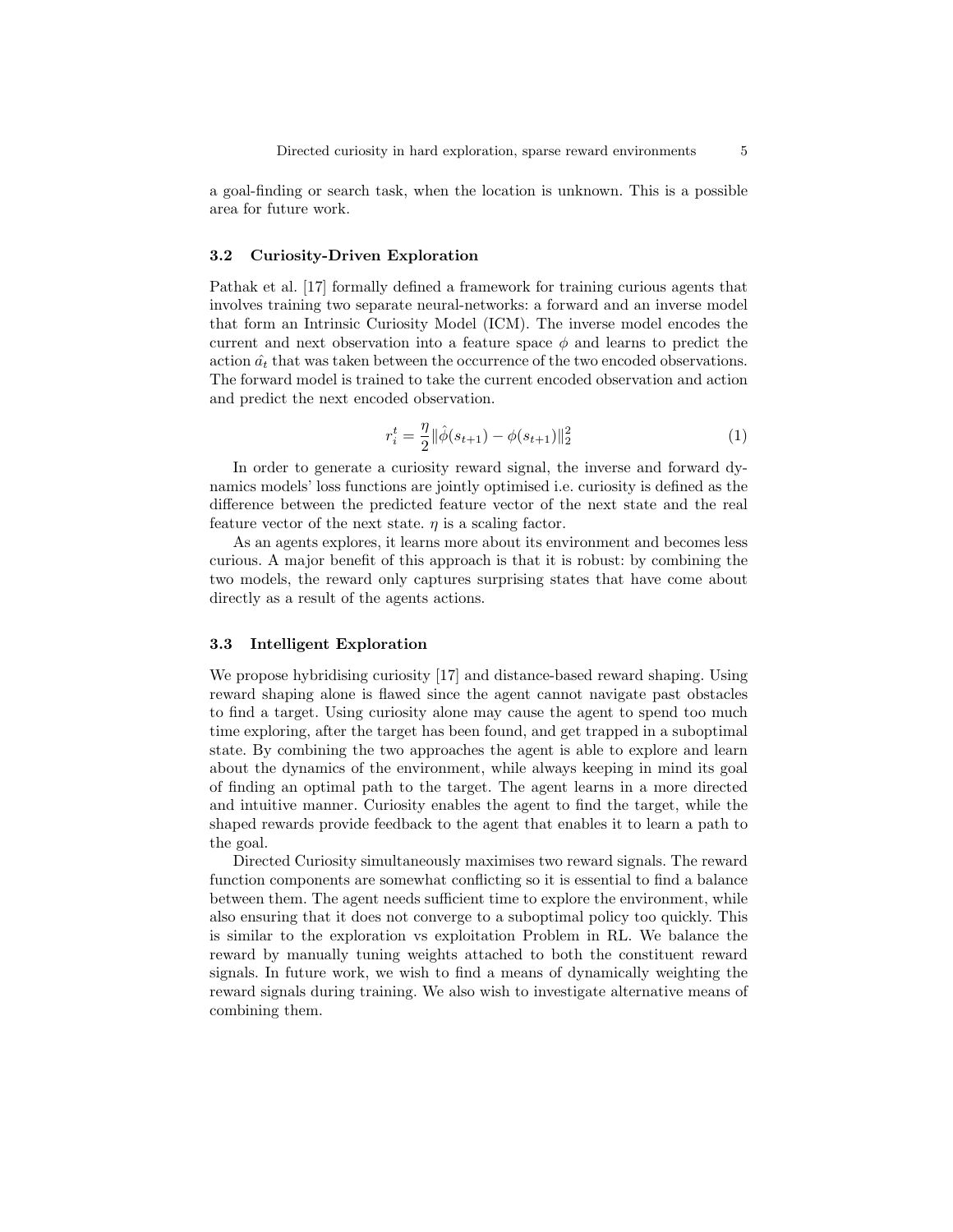a goal-finding or search task, when the location is unknown. This is a possible area for future work.

### 3.2 Curiosity-Driven Exploration

Pathak et al. [\[17\]](#page-11-1) formally defined a framework for training curious agents that involves training two separate neural-networks: a forward and an inverse model that form an Intrinsic Curiosity Model (ICM). The inverse model encodes the current and next observation into a feature space  $\phi$  and learns to predict the action  $\hat{a}_t$  that was taken between the occurrence of the two encoded observations. The forward model is trained to take the current encoded observation and action and predict the next encoded observation.

<span id="page-4-0"></span>
$$
r_i^t = \frac{\eta}{2} ||\hat{\phi}(s_{t+1}) - \phi(s_{t+1})||_2^2
$$
 (1)

In order to generate a curiosity reward signal, the inverse and forward dynamics models' loss functions are jointly optimised i.e. curiosity is defined as the difference between the predicted feature vector of the next state and the real feature vector of the next state.  $\eta$  is a scaling factor.

As an agents explores, it learns more about its environment and becomes less curious. A major benefit of this approach is that it is robust: by combining the two models, the reward only captures surprising states that have come about directly as a result of the agents actions.

### 3.3 Intelligent Exploration

We propose hybridising curiosity [\[17\]](#page-11-1) and distance-based reward shaping. Using reward shaping alone is flawed since the agent cannot navigate past obstacles to find a target. Using curiosity alone may cause the agent to spend too much time exploring, after the target has been found, and get trapped in a suboptimal state. By combining the two approaches the agent is able to explore and learn about the dynamics of the environment, while always keeping in mind its goal of finding an optimal path to the target. The agent learns in a more directed and intuitive manner. Curiosity enables the agent to find the target, while the shaped rewards provide feedback to the agent that enables it to learn a path to the goal.

Directed Curiosity simultaneously maximises two reward signals. The reward function components are somewhat conflicting so it is essential to find a balance between them. The agent needs sufficient time to explore the environment, while also ensuring that it does not converge to a suboptimal policy too quickly. This is similar to the exploration vs exploitation Problem in RL. We balance the reward by manually tuning weights attached to both the constituent reward signals. In future work, we wish to find a means of dynamically weighting the reward signals during training. We also wish to investigate alternative means of combining them.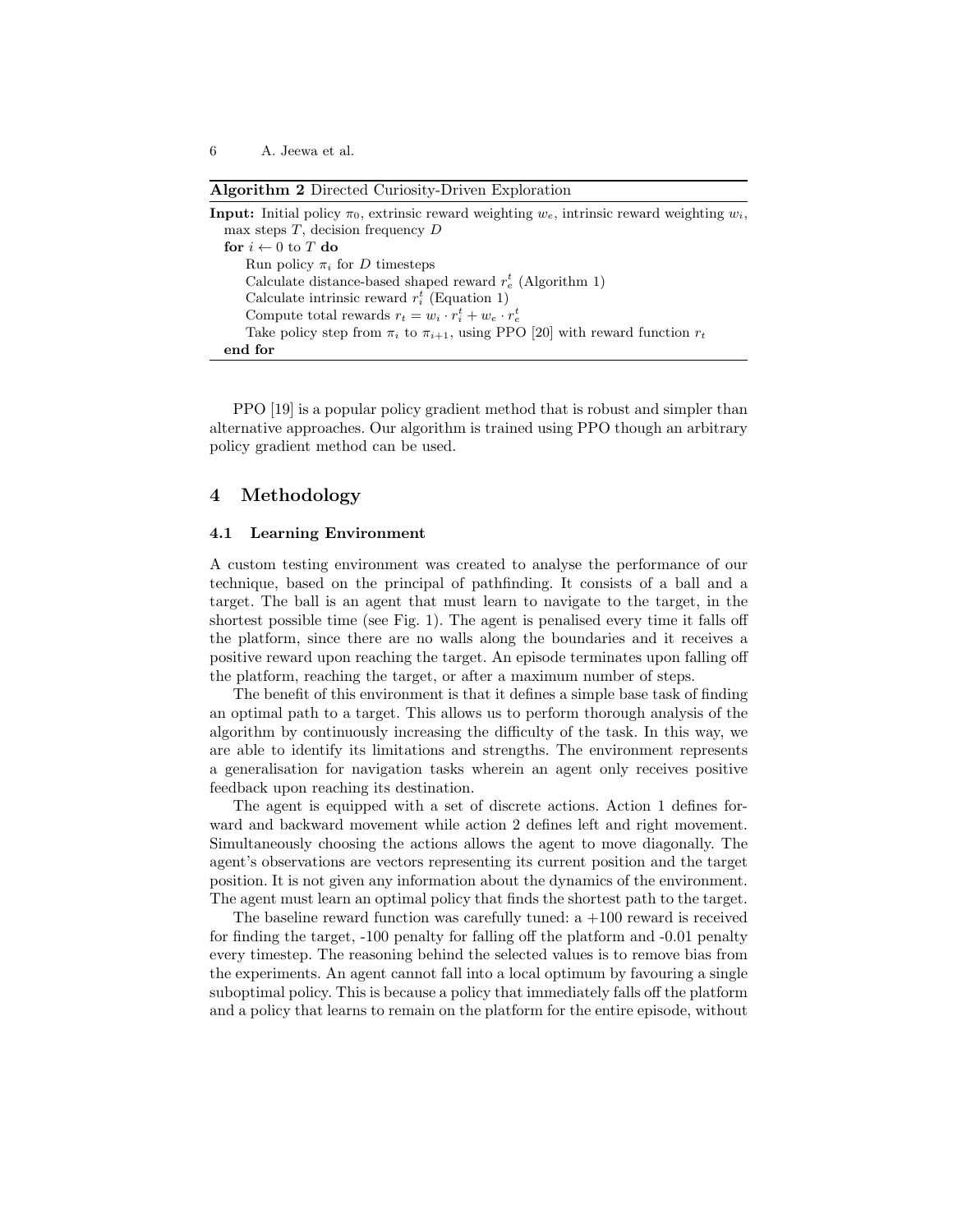Algorithm 2 Directed Curiosity-Driven Exploration

| <b>Input:</b> Initial policy $\pi_0$ , extrinsic reward weighting $w_e$ , intrinsic reward weighting $w_i$ , |
|--------------------------------------------------------------------------------------------------------------|
| max steps $T$ , decision frequency $D$                                                                       |
| for $i \leftarrow 0$ to T do                                                                                 |
| Run policy $\pi_i$ for D timesteps                                                                           |
| Calculate distance-based shaped reward $r_e^t$ (Algorithm 1)                                                 |
| Calculate intrinsic reward $r_i^t$ (Equation 1)                                                              |
| Compute total rewards $r_t = w_i \cdot r_i^t + w_e \cdot r_e^t$                                              |
| Take policy step from $\pi_i$ to $\pi_{i+1}$ , using PPO [20] with reward function $r_t$                     |
| end for                                                                                                      |

PPO [\[19\]](#page-11-15) is a popular policy gradient method that is robust and simpler than alternative approaches. Our algorithm is trained using PPO though an arbitrary policy gradient method can be used.

# <span id="page-5-0"></span>4 Methodology

### 4.1 Learning Environment

A custom testing environment was created to analyse the performance of our technique, based on the principal of pathfinding. It consists of a ball and a target. The ball is an agent that must learn to navigate to the target, in the shortest possible time (see Fig. [1\)](#page-6-0). The agent is penalised every time it falls off the platform, since there are no walls along the boundaries and it receives a positive reward upon reaching the target. An episode terminates upon falling off the platform, reaching the target, or after a maximum number of steps.

The benefit of this environment is that it defines a simple base task of finding an optimal path to a target. This allows us to perform thorough analysis of the algorithm by continuously increasing the difficulty of the task. In this way, we are able to identify its limitations and strengths. The environment represents a generalisation for navigation tasks wherein an agent only receives positive feedback upon reaching its destination.

The agent is equipped with a set of discrete actions. Action 1 defines forward and backward movement while action 2 defines left and right movement. Simultaneously choosing the actions allows the agent to move diagonally. The agent's observations are vectors representing its current position and the target position. It is not given any information about the dynamics of the environment. The agent must learn an optimal policy that finds the shortest path to the target.

The baseline reward function was carefully tuned:  $a +100$  reward is received for finding the target, -100 penalty for falling off the platform and -0.01 penalty every timestep. The reasoning behind the selected values is to remove bias from the experiments. An agent cannot fall into a local optimum by favouring a single suboptimal policy. This is because a policy that immediately falls off the platform and a policy that learns to remain on the platform for the entire episode, without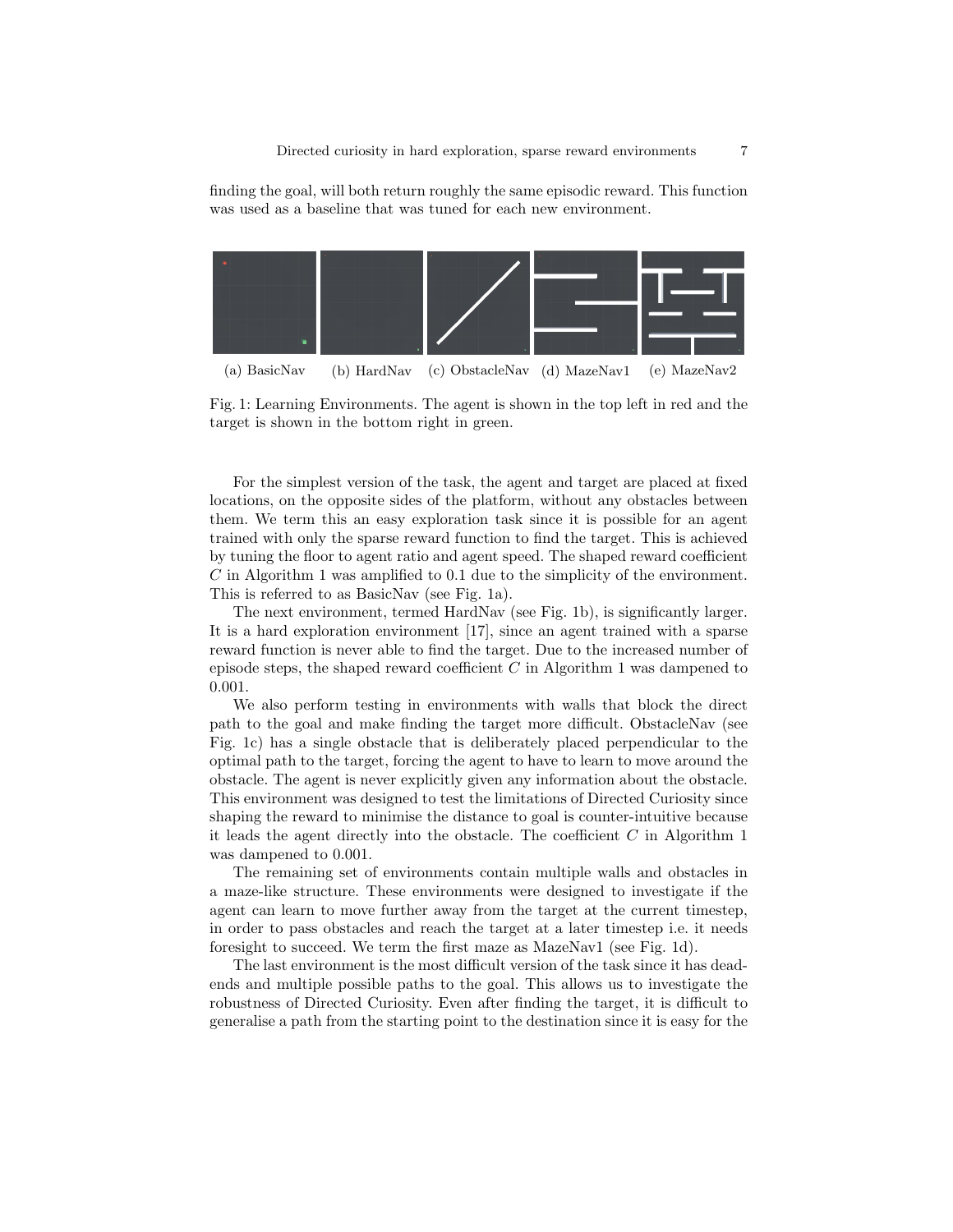finding the goal, will both return roughly the same episodic reward. This function was used as a baseline that was tuned for each new environment.

<span id="page-6-0"></span>

Fig. 1: Learning Environments. The agent is shown in the top left in red and the target is shown in the bottom right in green.

For the simplest version of the task, the agent and target are placed at fixed locations, on the opposite sides of the platform, without any obstacles between them. We term this an easy exploration task since it is possible for an agent trained with only the sparse reward function to find the target. This is achieved by tuning the floor to agent ratio and agent speed. The shaped reward coefficient C in Algorithm [1](#page-3-0) was amplified to 0.1 due to the simplicity of the environment. This is referred to as BasicNav (see Fig. [1a\)](#page-6-0).

The next environment, termed HardNav (see Fig. [1b\)](#page-6-0), is significantly larger. It is a hard exploration environment [\[17\]](#page-11-1), since an agent trained with a sparse reward function is never able to find the target. Due to the increased number of episode steps, the shaped reward coefficient  $C$  in Algorithm [1](#page-3-0) was dampened to 0.001.

We also perform testing in environments with walls that block the direct path to the goal and make finding the target more difficult. ObstacleNav (see Fig. [1c\)](#page-6-0) has a single obstacle that is deliberately placed perpendicular to the optimal path to the target, forcing the agent to have to learn to move around the obstacle. The agent is never explicitly given any information about the obstacle. This environment was designed to test the limitations of Directed Curiosity since shaping the reward to minimise the distance to goal is counter-intuitive because it leads the agent directly into the obstacle. The coefficient  $C$  in Algorithm [1](#page-3-0) was dampened to 0.001.

The remaining set of environments contain multiple walls and obstacles in a maze-like structure. These environments were designed to investigate if the agent can learn to move further away from the target at the current timestep, in order to pass obstacles and reach the target at a later timestep i.e. it needs foresight to succeed. We term the first maze as MazeNav1 (see Fig. [1d\)](#page-6-0).

The last environment is the most difficult version of the task since it has deadends and multiple possible paths to the goal. This allows us to investigate the robustness of Directed Curiosity. Even after finding the target, it is difficult to generalise a path from the starting point to the destination since it is easy for the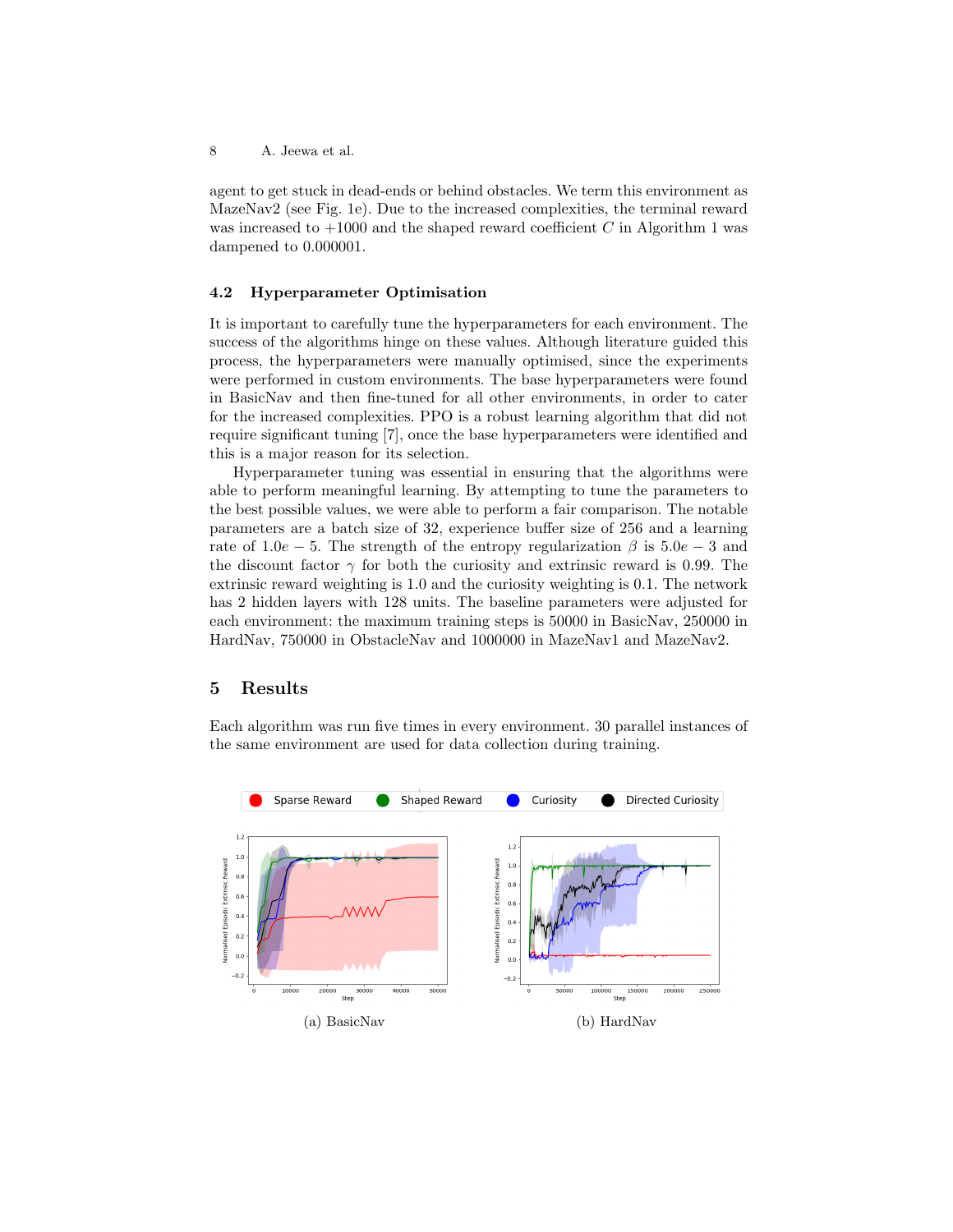agent to get stuck in dead-ends or behind obstacles. We term this environment as MazeNav2 (see Fig. [1e\)](#page-6-0). Due to the increased complexities, the terminal reward was increased to  $+1000$  $+1000$  $+1000$  and the shaped reward coefficient C in Algorithm 1 was dampened to 0.000001.

### 4.2 Hyperparameter Optimisation

It is important to carefully tune the hyperparameters for each environment. The success of the algorithms hinge on these values. Although literature guided this process, the hyperparameters were manually optimised, since the experiments were performed in custom environments. The base hyperparameters were found in BasicNav and then fine-tuned for all other environments, in order to cater for the increased complexities. PPO is a robust learning algorithm that did not require significant tuning [\[7\]](#page-11-3), once the base hyperparameters were identified and this is a major reason for its selection.

Hyperparameter tuning was essential in ensuring that the algorithms were able to perform meaningful learning. By attempting to tune the parameters to the best possible values, we were able to perform a fair comparison. The notable parameters are a batch size of 32, experience buffer size of 256 and a learning rate of 1.0e − 5. The strength of the entropy regularization  $\beta$  is 5.0e − 3 and the discount factor  $\gamma$  for both the curiosity and extrinsic reward is 0.99. The extrinsic reward weighting is 1.0 and the curiosity weighting is 0.1. The network has 2 hidden layers with 128 units. The baseline parameters were adjusted for each environment: the maximum training steps is 50000 in BasicNav, 250000 in HardNav, 750000 in ObstacleNav and 1000000 in MazeNav1 and MazeNav2.

## <span id="page-7-0"></span>5 Results

Each algorithm was run five times in every environment. 30 parallel instances of the same environment are used for data collection during training.

<span id="page-7-1"></span>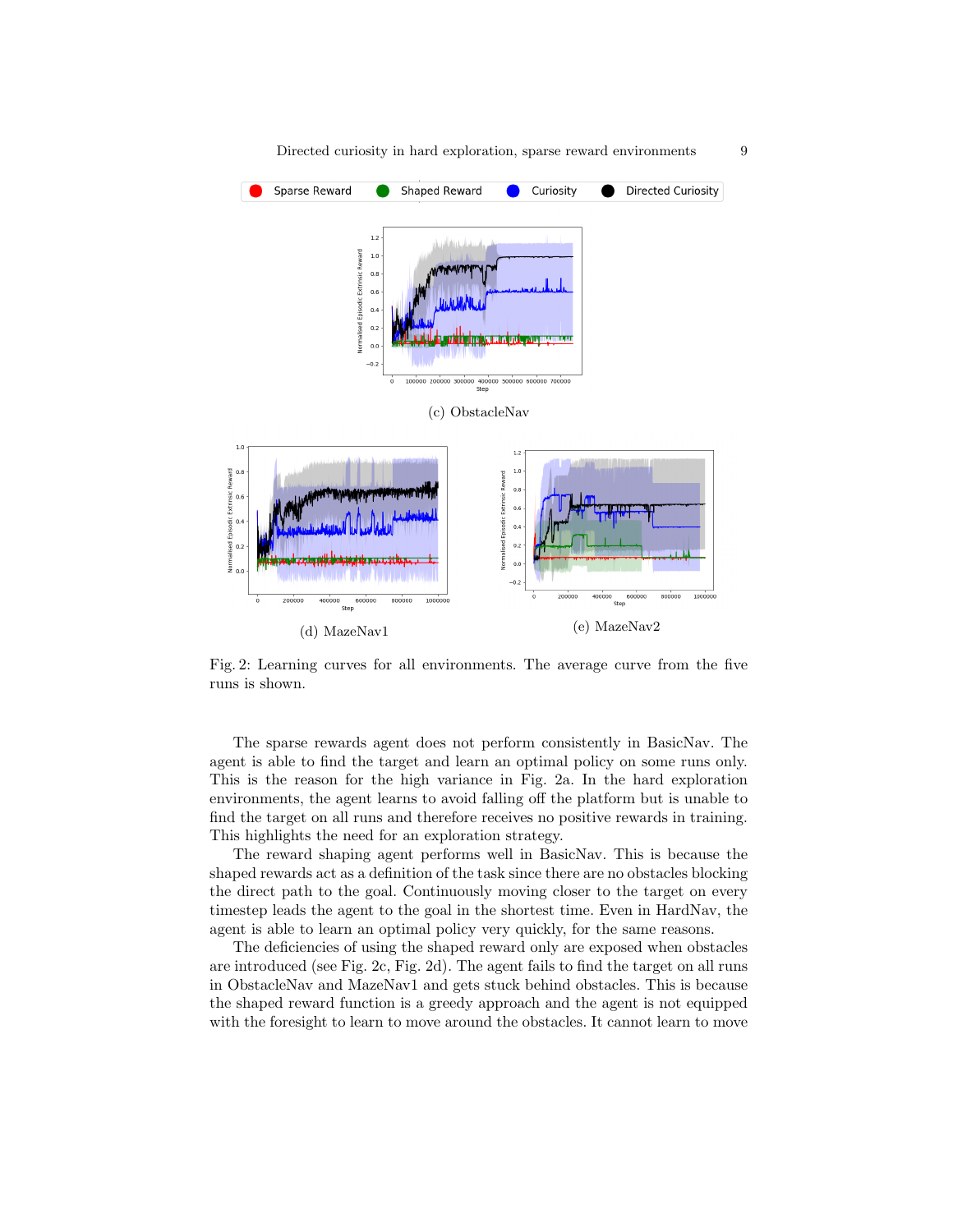<span id="page-8-0"></span>

Fig. 2: Learning curves for all environments. The average curve from the five runs is shown.

The sparse rewards agent does not perform consistently in BasicNav. The agent is able to find the target and learn an optimal policy on some runs only. This is the reason for the high variance in Fig. [2a.](#page-7-1) In the hard exploration environments, the agent learns to avoid falling off the platform but is unable to find the target on all runs and therefore receives no positive rewards in training. This highlights the need for an exploration strategy.

The reward shaping agent performs well in BasicNav. This is because the shaped rewards act as a definition of the task since there are no obstacles blocking the direct path to the goal. Continuously moving closer to the target on every timestep leads the agent to the goal in the shortest time. Even in HardNav, the agent is able to learn an optimal policy very quickly, for the same reasons.

The deficiencies of using the shaped reward only are exposed when obstacles are introduced (see Fig. [2c,](#page-8-0) Fig. [2d\)](#page-8-0). The agent fails to find the target on all runs in ObstacleNav and MazeNav1 and gets stuck behind obstacles. This is because the shaped reward function is a greedy approach and the agent is not equipped with the foresight to learn to move around the obstacles. It cannot learn to move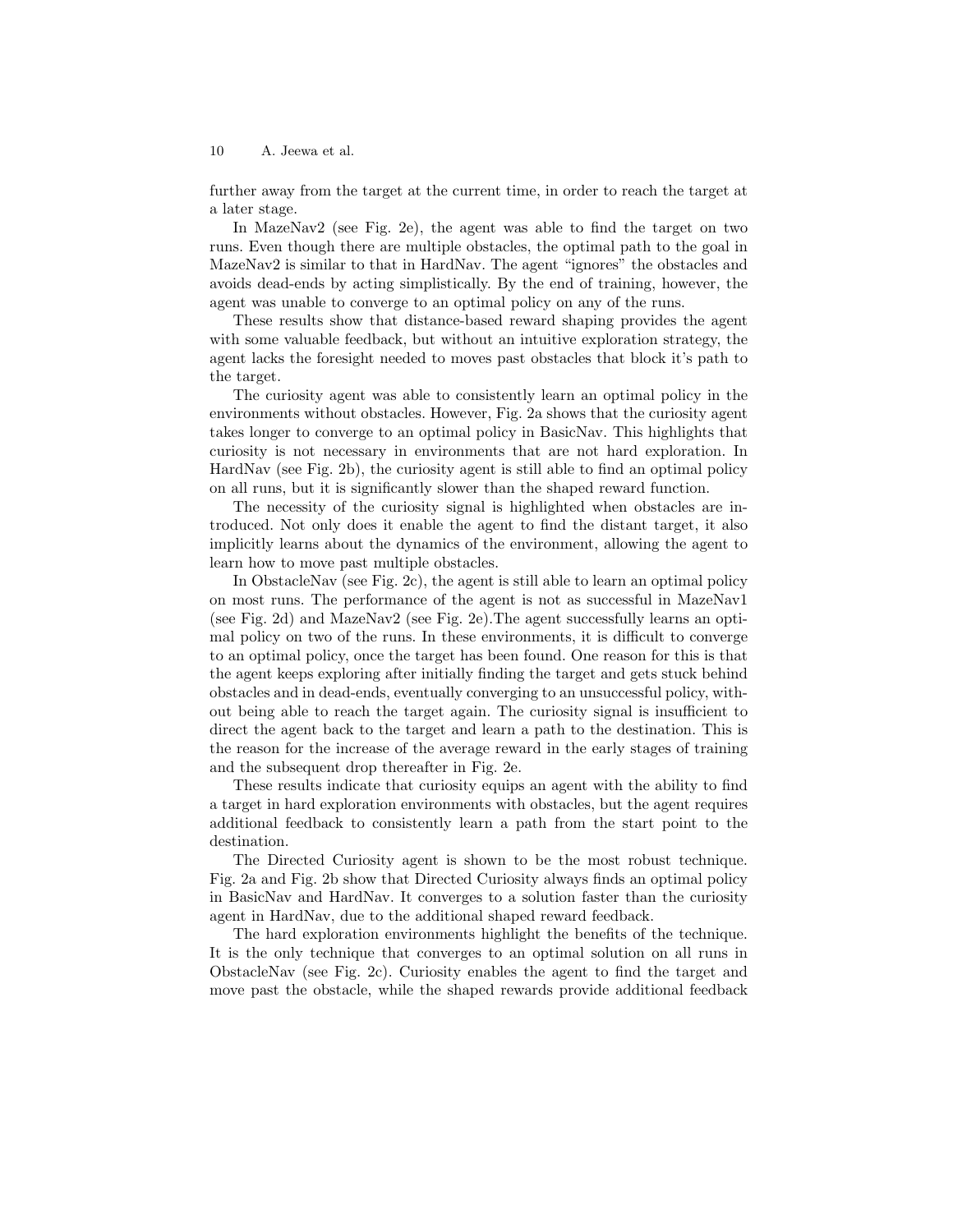further away from the target at the current time, in order to reach the target at a later stage.

In MazeNav2 (see Fig. [2e\)](#page-8-0), the agent was able to find the target on two runs. Even though there are multiple obstacles, the optimal path to the goal in MazeNav2 is similar to that in HardNav. The agent "ignores" the obstacles and avoids dead-ends by acting simplistically. By the end of training, however, the agent was unable to converge to an optimal policy on any of the runs.

These results show that distance-based reward shaping provides the agent with some valuable feedback, but without an intuitive exploration strategy, the agent lacks the foresight needed to moves past obstacles that block it's path to the target.

The curiosity agent was able to consistently learn an optimal policy in the environments without obstacles. However, Fig. [2a](#page-7-1) shows that the curiosity agent takes longer to converge to an optimal policy in BasicNav. This highlights that curiosity is not necessary in environments that are not hard exploration. In HardNav (see Fig. [2b\)](#page-7-1), the curiosity agent is still able to find an optimal policy on all runs, but it is significantly slower than the shaped reward function.

The necessity of the curiosity signal is highlighted when obstacles are introduced. Not only does it enable the agent to find the distant target, it also implicitly learns about the dynamics of the environment, allowing the agent to learn how to move past multiple obstacles.

In ObstacleNav (see Fig. [2c\)](#page-8-0), the agent is still able to learn an optimal policy on most runs. The performance of the agent is not as successful in MazeNav1 (see Fig. [2d\)](#page-8-0) and MazeNav2 (see Fig. [2e\)](#page-8-0).The agent successfully learns an optimal policy on two of the runs. In these environments, it is difficult to converge to an optimal policy, once the target has been found. One reason for this is that the agent keeps exploring after initially finding the target and gets stuck behind obstacles and in dead-ends, eventually converging to an unsuccessful policy, without being able to reach the target again. The curiosity signal is insufficient to direct the agent back to the target and learn a path to the destination. This is the reason for the increase of the average reward in the early stages of training and the subsequent drop thereafter in Fig. [2e.](#page-8-0)

These results indicate that curiosity equips an agent with the ability to find a target in hard exploration environments with obstacles, but the agent requires additional feedback to consistently learn a path from the start point to the destination.

The Directed Curiosity agent is shown to be the most robust technique. Fig. [2a](#page-7-1) and Fig. [2b](#page-7-1) show that Directed Curiosity always finds an optimal policy in BasicNav and HardNav. It converges to a solution faster than the curiosity agent in HardNav, due to the additional shaped reward feedback.

The hard exploration environments highlight the benefits of the technique. It is the only technique that converges to an optimal solution on all runs in ObstacleNav (see Fig. [2c\)](#page-8-0). Curiosity enables the agent to find the target and move past the obstacle, while the shaped rewards provide additional feedback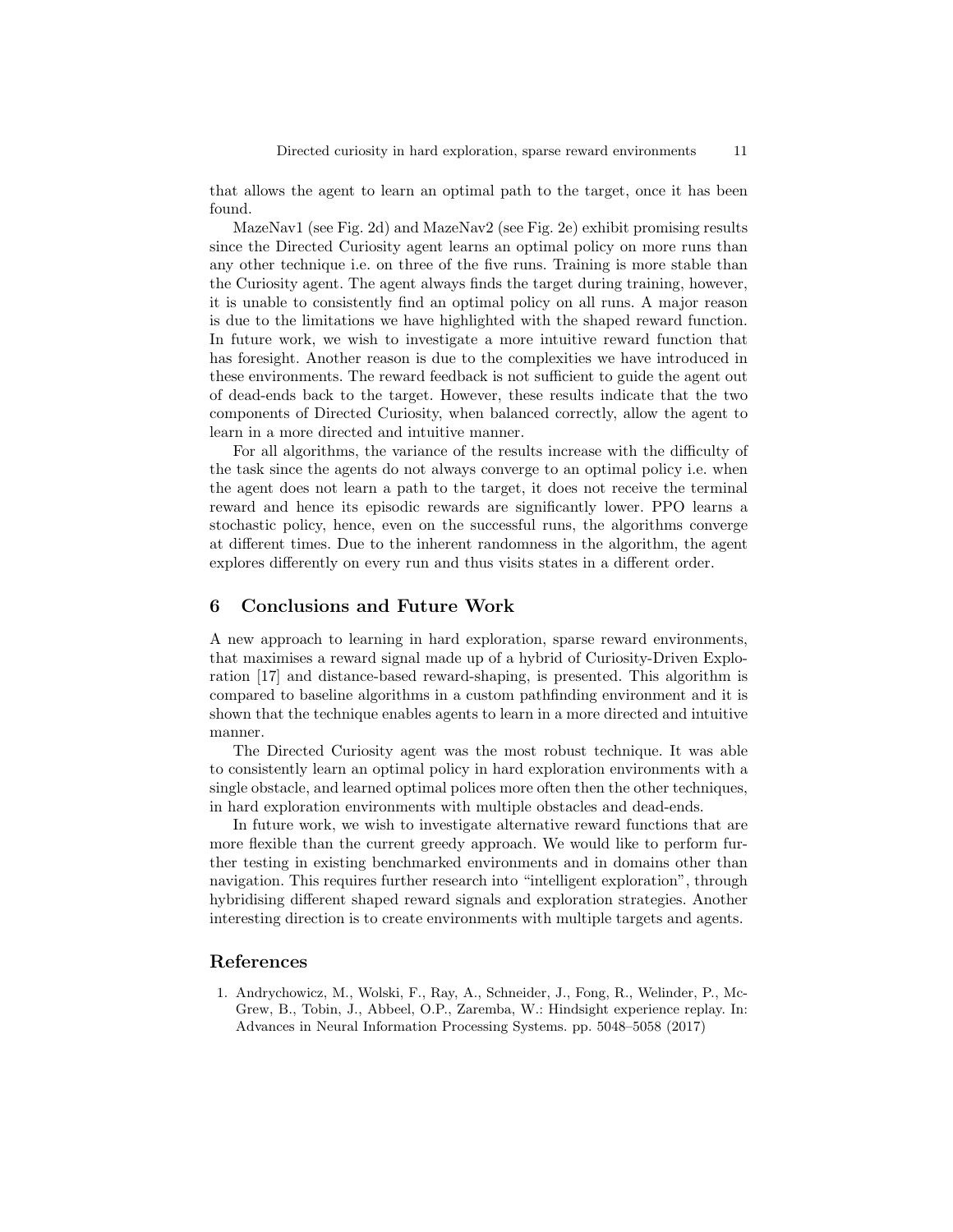that allows the agent to learn an optimal path to the target, once it has been found.

MazeNav1 (see Fig. [2d\)](#page-8-0) and MazeNav2 (see Fig. [2e\)](#page-8-0) exhibit promising results since the Directed Curiosity agent learns an optimal policy on more runs than any other technique i.e. on three of the five runs. Training is more stable than the Curiosity agent. The agent always finds the target during training, however, it is unable to consistently find an optimal policy on all runs. A major reason is due to the limitations we have highlighted with the shaped reward function. In future work, we wish to investigate a more intuitive reward function that has foresight. Another reason is due to the complexities we have introduced in these environments. The reward feedback is not sufficient to guide the agent out of dead-ends back to the target. However, these results indicate that the two components of Directed Curiosity, when balanced correctly, allow the agent to learn in a more directed and intuitive manner.

For all algorithms, the variance of the results increase with the difficulty of the task since the agents do not always converge to an optimal policy i.e. when the agent does not learn a path to the target, it does not receive the terminal reward and hence its episodic rewards are significantly lower. PPO learns a stochastic policy, hence, even on the successful runs, the algorithms converge at different times. Due to the inherent randomness in the algorithm, the agent explores differently on every run and thus visits states in a different order.

# 6 Conclusions and Future Work

A new approach to learning in hard exploration, sparse reward environments, that maximises a reward signal made up of a hybrid of Curiosity-Driven Exploration [\[17\]](#page-11-1) and distance-based reward-shaping, is presented. This algorithm is compared to baseline algorithms in a custom pathfinding environment and it is shown that the technique enables agents to learn in a more directed and intuitive manner.

The Directed Curiosity agent was the most robust technique. It was able to consistently learn an optimal policy in hard exploration environments with a single obstacle, and learned optimal polices more often then the other techniques, in hard exploration environments with multiple obstacles and dead-ends.

In future work, we wish to investigate alternative reward functions that are more flexible than the current greedy approach. We would like to perform further testing in existing benchmarked environments and in domains other than navigation. This requires further research into "intelligent exploration", through hybridising different shaped reward signals and exploration strategies. Another interesting direction is to create environments with multiple targets and agents.

### References

<span id="page-10-0"></span>1. Andrychowicz, M., Wolski, F., Ray, A., Schneider, J., Fong, R., Welinder, P., Mc-Grew, B., Tobin, J., Abbeel, O.P., Zaremba, W.: Hindsight experience replay. In: Advances in Neural Information Processing Systems. pp. 5048–5058 (2017)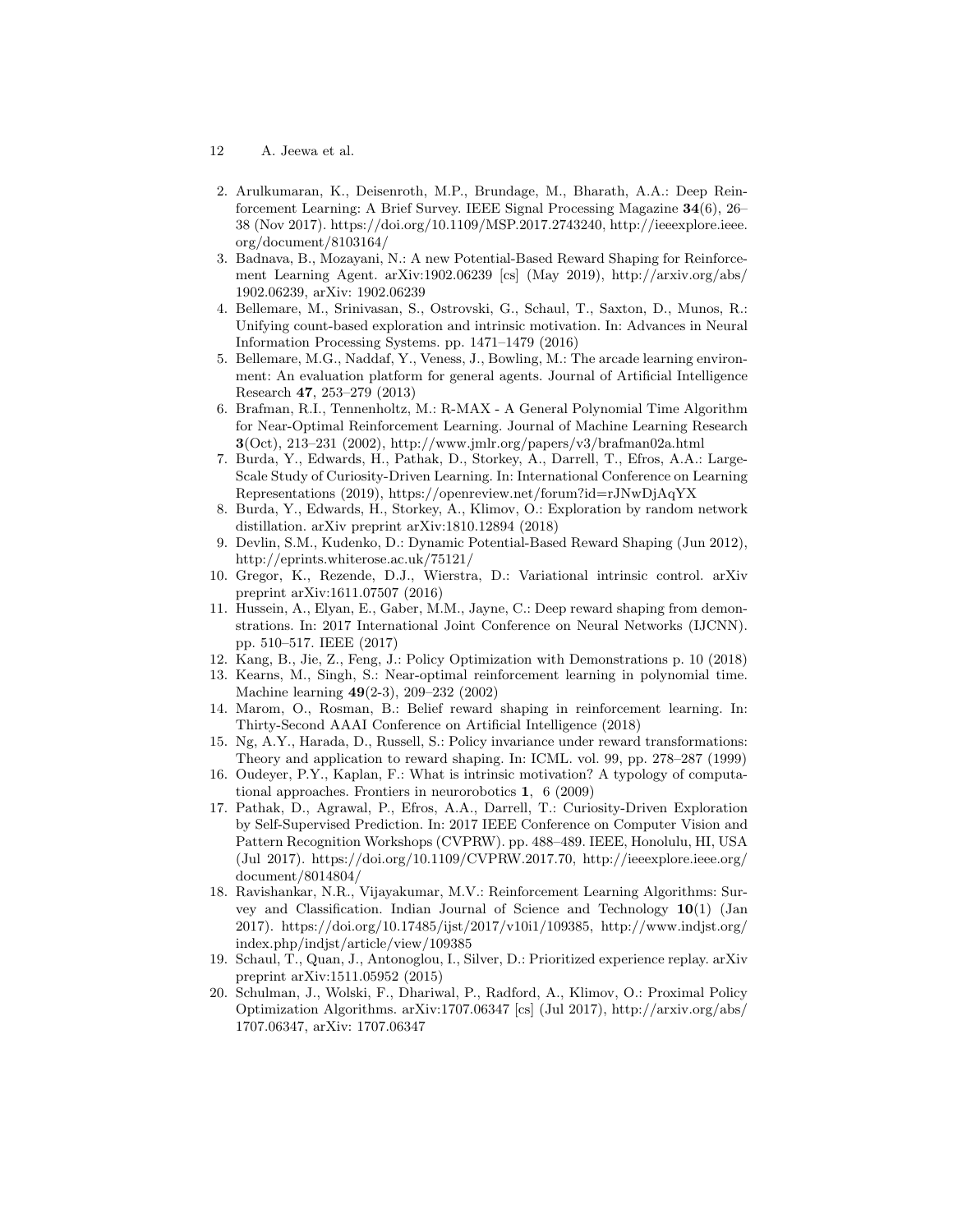- 12 A. Jeewa et al.
- 2. Arulkumaran, K., Deisenroth, M.P., Brundage, M., Bharath, A.A.: Deep Reinforcement Learning: A Brief Survey. IEEE Signal Processing Magazine 34(6), 26– 38 (Nov 2017). [https://doi.org/10.1109/MSP.2017.2743240,](https://doi.org/10.1109/MSP.2017.2743240) [http://ieeexplore.ieee.](http://ieeexplore.ieee.org/document/8103164/) [org/document/8103164/](http://ieeexplore.ieee.org/document/8103164/)
- <span id="page-11-6"></span>3. Badnava, B., Mozayani, N.: A new Potential-Based Reward Shaping for Reinforcement Learning Agent. arXiv:1902.06239 [cs] (May 2019), [http://arxiv.org/abs/](http://arxiv.org/abs/1902.06239) [1902.06239,](http://arxiv.org/abs/1902.06239) arXiv: 1902.06239
- <span id="page-11-0"></span>4. Bellemare, M., Srinivasan, S., Ostrovski, G., Schaul, T., Saxton, D., Munos, R.: Unifying count-based exploration and intrinsic motivation. In: Advances in Neural Information Processing Systems. pp. 1471–1479 (2016)
- <span id="page-11-11"></span>5. Bellemare, M.G., Naddaf, Y., Veness, J., Bowling, M.: The arcade learning environment: An evaluation platform for general agents. Journal of Artificial Intelligence Research 47, 253–279 (2013)
- <span id="page-11-9"></span>6. Brafman, R.I., Tennenholtz, M.: R-MAX - A General Polynomial Time Algorithm for Near-Optimal Reinforcement Learning. Journal of Machine Learning Research  $3(Oct), 213-231 (2002), <http://www.jmlr.org/papers/v3/brafman02a.html>$  $3(Oct), 213-231 (2002), <http://www.jmlr.org/papers/v3/brafman02a.html>$  $3(Oct), 213-231 (2002), <http://www.jmlr.org/papers/v3/brafman02a.html>$
- <span id="page-11-3"></span>7. Burda, Y., Edwards, H., Pathak, D., Storkey, A., Darrell, T., Efros, A.A.: Large-Scale Study of Curiosity-Driven Learning. In: International Conference on Learning Representations (2019), <https://openreview.net/forum?id=rJNwDjAqYX>
- <span id="page-11-12"></span>8. Burda, Y., Edwards, H., Storkey, A., Klimov, O.: Exploration by random network distillation. arXiv preprint arXiv:1810.12894 (2018)
- <span id="page-11-4"></span>9. Devlin, S.M., Kudenko, D.: Dynamic Potential-Based Reward Shaping (Jun 2012), <http://eprints.whiterose.ac.uk/75121/>
- <span id="page-11-13"></span>10. Gregor, K., Rezende, D.J., Wierstra, D.: Variational intrinsic control. arXiv preprint arXiv:1611.07507 (2016)
- <span id="page-11-7"></span>11. Hussein, A., Elyan, E., Gaber, M.M., Jayne, C.: Deep reward shaping from demonstrations. In: 2017 International Joint Conference on Neural Networks (IJCNN). pp. 510–517. IEEE (2017)
- 12. Kang, B., Jie, Z., Feng, J.: Policy Optimization with Demonstrations p. 10 (2018)
- <span id="page-11-10"></span>13. Kearns, M., Singh, S.: Near-optimal reinforcement learning in polynomial time. Machine learning 49(2-3), 209–232 (2002)
- <span id="page-11-5"></span>14. Marom, O., Rosman, B.: Belief reward shaping in reinforcement learning. In: Thirty-Second AAAI Conference on Artificial Intelligence (2018)
- <span id="page-11-2"></span>15. Ng, A.Y., Harada, D., Russell, S.: Policy invariance under reward transformations: Theory and application to reward shaping. In: ICML. vol. 99, pp. 278–287 (1999)
- <span id="page-11-8"></span>16. Oudeyer, P.Y., Kaplan, F.: What is intrinsic motivation? A typology of computational approaches. Frontiers in neurorobotics 1, 6 (2009)
- <span id="page-11-1"></span>17. Pathak, D., Agrawal, P., Efros, A.A., Darrell, T.: Curiosity-Driven Exploration by Self-Supervised Prediction. In: 2017 IEEE Conference on Computer Vision and Pattern Recognition Workshops (CVPRW). pp. 488–489. IEEE, Honolulu, HI, USA (Jul 2017). [https://doi.org/10.1109/CVPRW.2017.70,](https://doi.org/10.1109/CVPRW.2017.70) [http://ieeexplore.ieee.org/](http://ieeexplore.ieee.org/document/8014804/) [document/8014804/](http://ieeexplore.ieee.org/document/8014804/)
- 18. Ravishankar, N.R., Vijayakumar, M.V.: Reinforcement Learning Algorithms: Survey and Classification. Indian Journal of Science and Technology 10(1) (Jan 2017). [https://doi.org/10.17485/ijst/2017/v10i1/109385,](https://doi.org/10.17485/ijst/2017/v10i1/109385) [http://www.indjst.org/](http://www.indjst.org/index.php/indjst/article/view/109385) [index.php/indjst/article/view/109385](http://www.indjst.org/index.php/indjst/article/view/109385)
- <span id="page-11-15"></span>19. Schaul, T., Quan, J., Antonoglou, I., Silver, D.: Prioritized experience replay. arXiv preprint arXiv:1511.05952 (2015)
- <span id="page-11-14"></span>20. Schulman, J., Wolski, F., Dhariwal, P., Radford, A., Klimov, O.: Proximal Policy Optimization Algorithms. arXiv:1707.06347 [cs] (Jul 2017), [http://arxiv.org/abs/](http://arxiv.org/abs/1707.06347) [1707.06347,](http://arxiv.org/abs/1707.06347) arXiv: 1707.06347